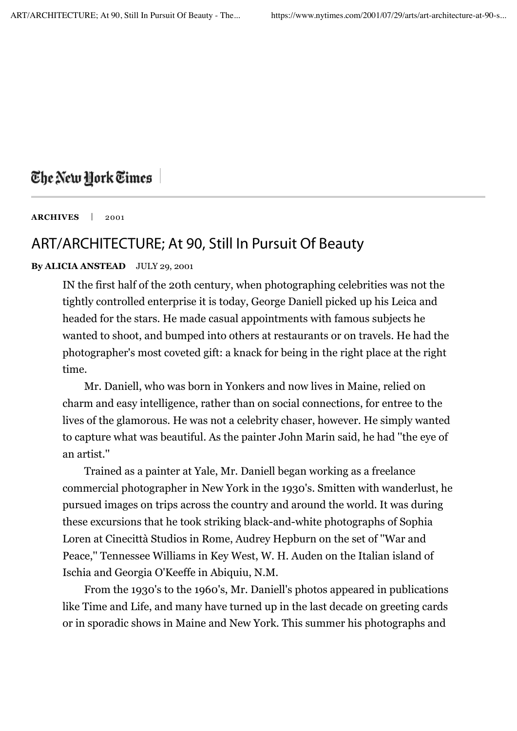## The New York Times

**ARCHIVES** | 2001

## ART/ARCHITECTURE; At 90, Still In Pursuit Of Beauty

## **By ALICIA ANSTEAD** JULY 29, 2001

IN the first half of the 20th century, when photographing celebrities was not the tightly controlled enterprise it is today, George Daniell picked up his Leica and headed for the stars. He made casual appointments with famous subjects he wanted to shoot, and bumped into others at restaurants or on travels. He had the photographer's most coveted gift: a knack for being in the right place at the right time.

Mr. Daniell, who was born in Yonkers and now lives in Maine, relied on charm and easy intelligence, rather than on social connections, for entree to the lives of the glamorous. He was not a celebrity chaser, however. He simply wanted to capture what was beautiful. As the painter John Marin said, he had ''the eye of an artist.''

Trained as a painter at Yale, Mr. Daniell began working as a freelance commercial photographer in New York in the 1930's. Smitten with wanderlust, he pursued images on trips across the country and around the world. It was during these excursions that he took striking black-and-white photographs of Sophia Loren at Cinecittà Studios in Rome, Audrey Hepburn on the set of ''War and Peace,'' Tennessee Williams in Key West, W. H. Auden on the Italian island of Ischia and Georgia O'Keeffe in Abiquiu, N.M.

From the 1930's to the 1960's, Mr. Daniell's photos appeared in publications like Time and Life, and many have turned up in the last decade on greeting cards or in sporadic shows in Maine and New York. This summer his photographs and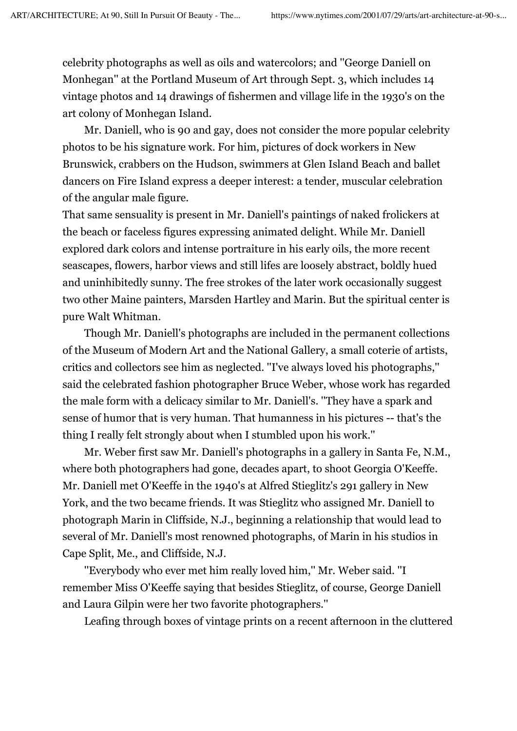celebrity photographs as well as oils and watercolors; and ''George Daniell on Monhegan'' at the Portland Museum of Art through Sept. 3, which includes 14 vintage photos and 14 drawings of fishermen and village life in the 1930's on the art colony of Monhegan Island.

Mr. Daniell, who is 90 and gay, does not consider the more popular celebrity photos to be his signature work. For him, pictures of dock workers in New Brunswick, crabbers on the Hudson, swimmers at Glen Island Beach and ballet dancers on Fire Island express a deeper interest: a tender, muscular celebration of the angular male figure.

That same sensuality is present in Mr. Daniell's paintings of naked frolickers at the beach or faceless figures expressing animated delight. While Mr. Daniell explored dark colors and intense portraiture in his early oils, the more recent seascapes, flowers, harbor views and still lifes are loosely abstract, boldly hued and uninhibitedly sunny. The free strokes of the later work occasionally suggest two other Maine painters, Marsden Hartley and Marin. But the spiritual center is pure Walt Whitman.

Though Mr. Daniell's photographs are included in the permanent collections of the Museum of Modern Art and the National Gallery, a small coterie of artists, critics and collectors see him as neglected. ''I've always loved his photographs,'' said the celebrated fashion photographer Bruce Weber, whose work has regarded the male form with a delicacy similar to Mr. Daniell's. ''They have a spark and sense of humor that is very human. That humanness in his pictures -- that's the thing I really felt strongly about when I stumbled upon his work.''

Mr. Weber first saw Mr. Daniell's photographs in a gallery in Santa Fe, N.M., where both photographers had gone, decades apart, to shoot Georgia O'Keeffe. Mr. Daniell met O'Keeffe in the 1940's at Alfred Stieglitz's 291 gallery in New York, and the two became friends. It was Stieglitz who assigned Mr. Daniell to photograph Marin in Cliffside, N.J., beginning a relationship that would lead to several of Mr. Daniell's most renowned photographs, of Marin in his studios in Cape Split, Me., and Cliffside, N.J.

''Everybody who ever met him really loved him,'' Mr. Weber said. ''I remember Miss O'Keeffe saying that besides Stieglitz, of course, George Daniell and Laura Gilpin were her two favorite photographers.''

Leafing through boxes of vintage prints on a recent afternoon in the cluttered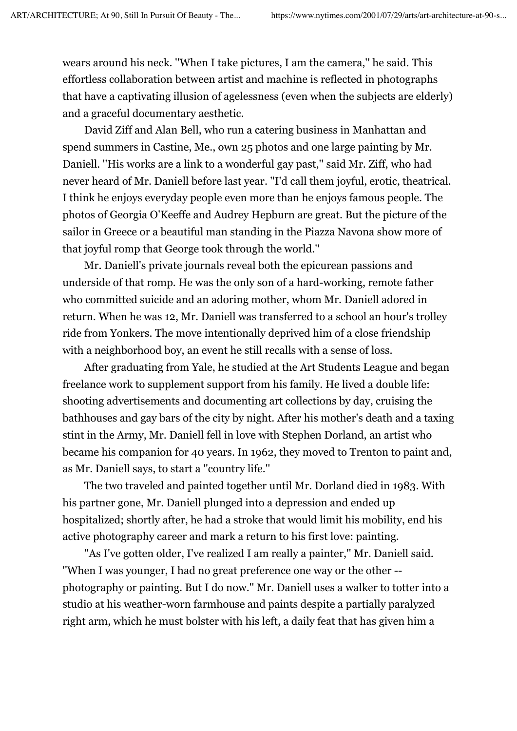wears around his neck. ''When I take pictures, I am the camera,'' he said. This effortless collaboration between artist and machine is reflected in photographs that have a captivating illusion of agelessness (even when the subjects are elderly) and a graceful documentary aesthetic.

David Ziff and Alan Bell, who run a catering business in Manhattan and spend summers in Castine, Me., own 25 photos and one large painting by Mr. Daniell. ''His works are a link to a wonderful gay past,'' said Mr. Ziff, who had never heard of Mr. Daniell before last year. ''I'd call them joyful, erotic, theatrical. I think he enjoys everyday people even more than he enjoys famous people. The photos of Georgia O'Keeffe and Audrey Hepburn are great. But the picture of the sailor in Greece or a beautiful man standing in the Piazza Navona show more of that joyful romp that George took through the world.''

Mr. Daniell's private journals reveal both the epicurean passions and underside of that romp. He was the only son of a hard-working, remote father who committed suicide and an adoring mother, whom Mr. Daniell adored in return. When he was 12, Mr. Daniell was transferred to a school an hour's trolley ride from Yonkers. The move intentionally deprived him of a close friendship with a neighborhood boy, an event he still recalls with a sense of loss.

After graduating from Yale, he studied at the Art Students League and began freelance work to supplement support from his family. He lived a double life: shooting advertisements and documenting art collections by day, cruising the bathhouses and gay bars of the city by night. After his mother's death and a taxing stint in the Army, Mr. Daniell fell in love with Stephen Dorland, an artist who became his companion for 40 years. In 1962, they moved to Trenton to paint and, as Mr. Daniell says, to start a ''country life.''

The two traveled and painted together until Mr. Dorland died in 1983. With his partner gone, Mr. Daniell plunged into a depression and ended up hospitalized; shortly after, he had a stroke that would limit his mobility, end his active photography career and mark a return to his first love: painting.

"As I've gotten older, I've realized I am really a painter," Mr. Daniell said. ''When I was younger, I had no great preference one way or the other - photography or painting. But I do now.'' Mr. Daniell uses a walker to totter into a studio at his weather-worn farmhouse and paints despite a partially paralyzed right arm, which he must bolster with his left, a daily feat that has given him a